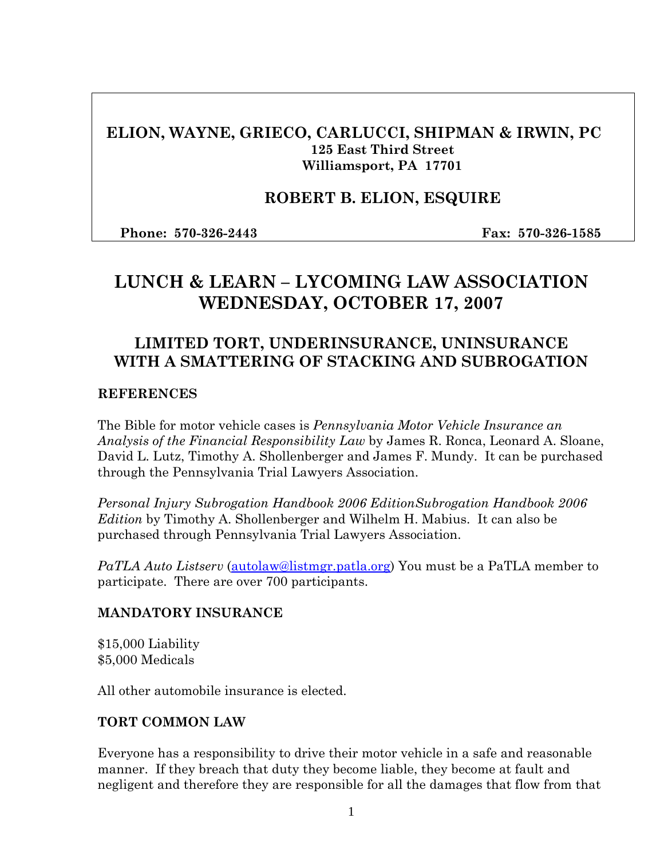### **ELION, WAYNE, GRIECO, CARLUCCI, SHIPMAN & IRWIN, PC 125 East Third Street Williamsport, PA 17701**

# **ROBERT B. ELION, ESQUIRE**

 **Phone: 570-326-2443 Fax: 570-326-1585** 

# **LUNCH & LEARN – LYCOMING LAW ASSOCIATION WEDNESDAY, OCTOBER 17, 2007**

# **LIMITED TORT, UNDERINSURANCE, UNINSURANCE WITH A SMATTERING OF STACKING AND SUBROGATION**

#### **REFERENCES**

The Bible for motor vehicle cases is *Pennsylvania Motor Vehicle Insurance an Analysis of the Financial Responsibility Law* by James R. Ronca, Leonard A. Sloane, David L. Lutz, Timothy A. Shollenberger and James F. Mundy. It can be purchased through the Pennsylvania Trial Lawyers Association.

*Personal Injury Subrogation Handbook 2006 EditionSubrogation Handbook 2006 Edition* by Timothy A. Shollenberger and Wilhelm H. Mabius. It can also be purchased through Pennsylvania Trial Lawyers Association.

*PaTLA Auto Listserv* (autolaw@listmgr.patla.org) You must be a PaTLA member to participate. There are over 700 participants.

#### **MANDATORY INSURANCE**

\$15,000 Liability \$5,000 Medicals

All other automobile insurance is elected.

#### **TORT COMMON LAW**

Everyone has a responsibility to drive their motor vehicle in a safe and reasonable manner. If they breach that duty they become liable, they become at fault and negligent and therefore they are responsible for all the damages that flow from that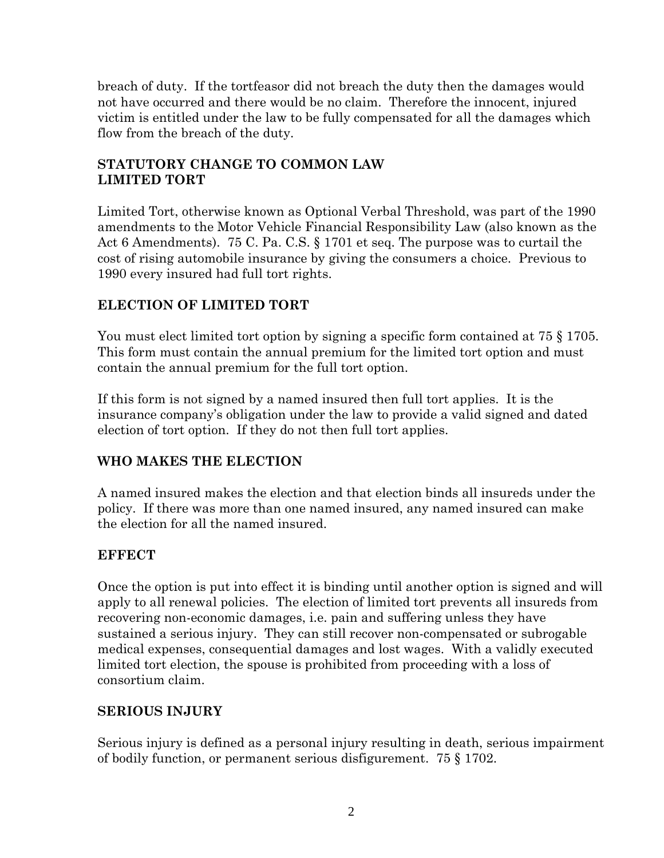breach of duty. If the tortfeasor did not breach the duty then the damages would not have occurred and there would be no claim. Therefore the innocent, injured victim is entitled under the law to be fully compensated for all the damages which flow from the breach of the duty.

### **STATUTORY CHANGE TO COMMON LAW LIMITED TORT**

Limited Tort, otherwise known as Optional Verbal Threshold, was part of the 1990 amendments to the Motor Vehicle Financial Responsibility Law (also known as the Act 6 Amendments). 75 C. Pa. C.S. § 1701 et seq. The purpose was to curtail the cost of rising automobile insurance by giving the consumers a choice. Previous to 1990 every insured had full tort rights.

# **ELECTION OF LIMITED TORT**

You must elect limited tort option by signing a specific form contained at 75 § 1705. This form must contain the annual premium for the limited tort option and must contain the annual premium for the full tort option.

If this form is not signed by a named insured then full tort applies. It is the insurance company's obligation under the law to provide a valid signed and dated election of tort option. If they do not then full tort applies.

# **WHO MAKES THE ELECTION**

A named insured makes the election and that election binds all insureds under the policy. If there was more than one named insured, any named insured can make the election for all the named insured.

#### **EFFECT**

Once the option is put into effect it is binding until another option is signed and will apply to all renewal policies. The election of limited tort prevents all insureds from recovering non-economic damages, i.e. pain and suffering unless they have sustained a serious injury. They can still recover non-compensated or subrogable medical expenses, consequential damages and lost wages. With a validly executed limited tort election, the spouse is prohibited from proceeding with a loss of consortium claim.

#### **SERIOUS INJURY**

Serious injury is defined as a personal injury resulting in death, serious impairment of bodily function, or permanent serious disfigurement. 75 § 1702.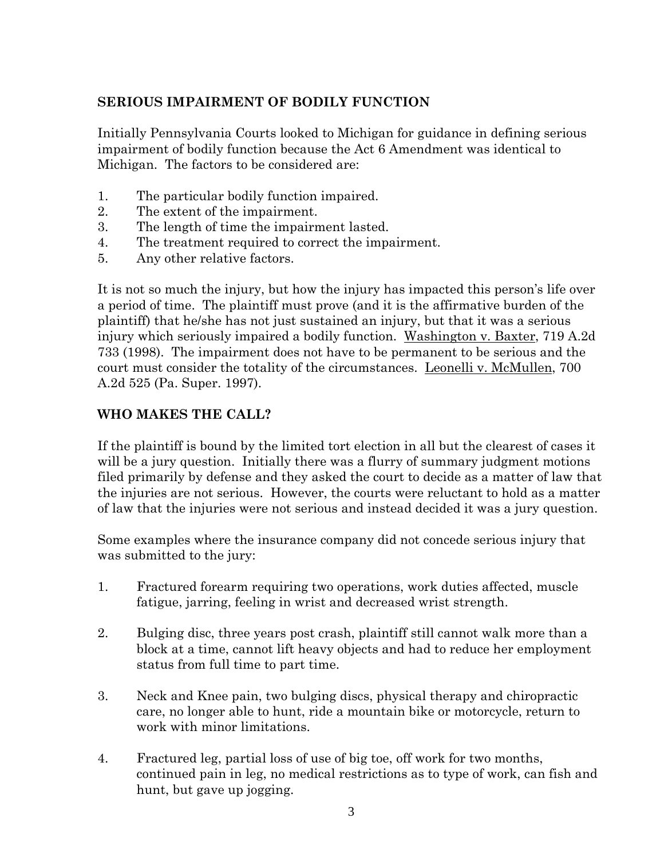### **SERIOUS IMPAIRMENT OF BODILY FUNCTION**

Initially Pennsylvania Courts looked to Michigan for guidance in defining serious impairment of bodily function because the Act 6 Amendment was identical to Michigan. The factors to be considered are:

- 1. The particular bodily function impaired.
- 2. The extent of the impairment.
- 3. The length of time the impairment lasted.
- 4. The treatment required to correct the impairment.
- 5. Any other relative factors.

It is not so much the injury, but how the injury has impacted this person's life over a period of time. The plaintiff must prove (and it is the affirmative burden of the plaintiff) that he/she has not just sustained an injury, but that it was a serious injury which seriously impaired a bodily function. Washington v. Baxter, 719 A.2d 733 (1998). The impairment does not have to be permanent to be serious and the court must consider the totality of the circumstances. Leonelli v. McMullen, 700 A.2d 525 (Pa. Super. 1997).

### **WHO MAKES THE CALL?**

If the plaintiff is bound by the limited tort election in all but the clearest of cases it will be a jury question. Initially there was a flurry of summary judgment motions filed primarily by defense and they asked the court to decide as a matter of law that the injuries are not serious. However, the courts were reluctant to hold as a matter of law that the injuries were not serious and instead decided it was a jury question.

Some examples where the insurance company did not concede serious injury that was submitted to the jury:

- 1. Fractured forearm requiring two operations, work duties affected, muscle fatigue, jarring, feeling in wrist and decreased wrist strength.
- 2. Bulging disc, three years post crash, plaintiff still cannot walk more than a block at a time, cannot lift heavy objects and had to reduce her employment status from full time to part time.
- 3. Neck and Knee pain, two bulging discs, physical therapy and chiropractic care, no longer able to hunt, ride a mountain bike or motorcycle, return to work with minor limitations.
- 4. Fractured leg, partial loss of use of big toe, off work for two months, continued pain in leg, no medical restrictions as to type of work, can fish and hunt, but gave up jogging.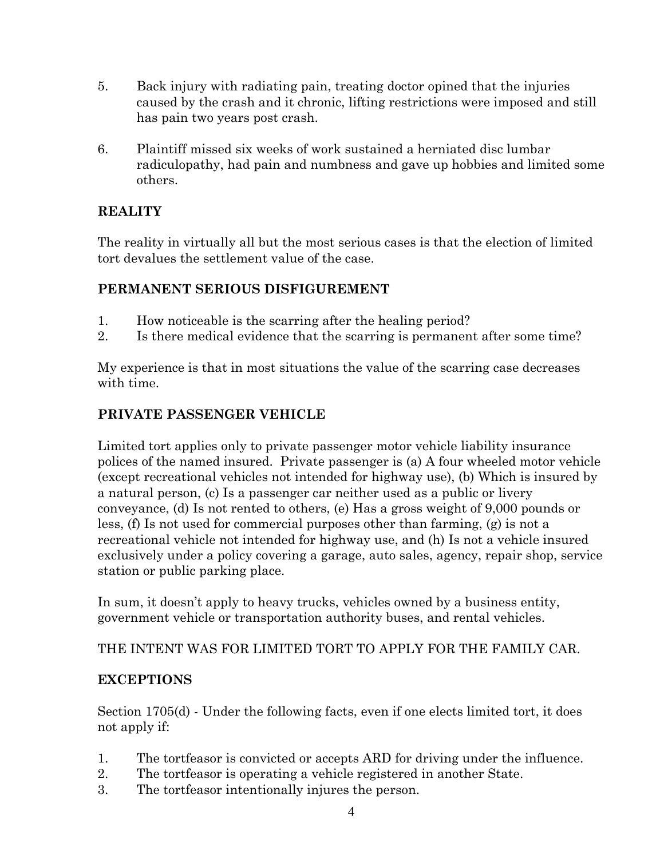- 5. Back injury with radiating pain, treating doctor opined that the injuries caused by the crash and it chronic, lifting restrictions were imposed and still has pain two years post crash.
- 6. Plaintiff missed six weeks of work sustained a herniated disc lumbar radiculopathy, had pain and numbness and gave up hobbies and limited some others.

# **REALITY**

The reality in virtually all but the most serious cases is that the election of limited tort devalues the settlement value of the case.

#### **PERMANENT SERIOUS DISFIGUREMENT**

- 1. How noticeable is the scarring after the healing period?
- 2. Is there medical evidence that the scarring is permanent after some time?

My experience is that in most situations the value of the scarring case decreases with time.

### **PRIVATE PASSENGER VEHICLE**

Limited tort applies only to private passenger motor vehicle liability insurance polices of the named insured. Private passenger is (a) A four wheeled motor vehicle (except recreational vehicles not intended for highway use), (b) Which is insured by a natural person, (c) Is a passenger car neither used as a public or livery conveyance, (d) Is not rented to others, (e) Has a gross weight of 9,000 pounds or less, (f) Is not used for commercial purposes other than farming, (g) is not a recreational vehicle not intended for highway use, and (h) Is not a vehicle insured exclusively under a policy covering a garage, auto sales, agency, repair shop, service station or public parking place.

In sum, it doesn't apply to heavy trucks, vehicles owned by a business entity, government vehicle or transportation authority buses, and rental vehicles.

THE INTENT WAS FOR LIMITED TORT TO APPLY FOR THE FAMILY CAR.

#### **EXCEPTIONS**

Section 1705(d) - Under the following facts, even if one elects limited tort, it does not apply if:

- 1. The tortfeasor is convicted or accepts ARD for driving under the influence.
- 2. The tortfeasor is operating a vehicle registered in another State.
- 3. The tortfeasor intentionally injures the person.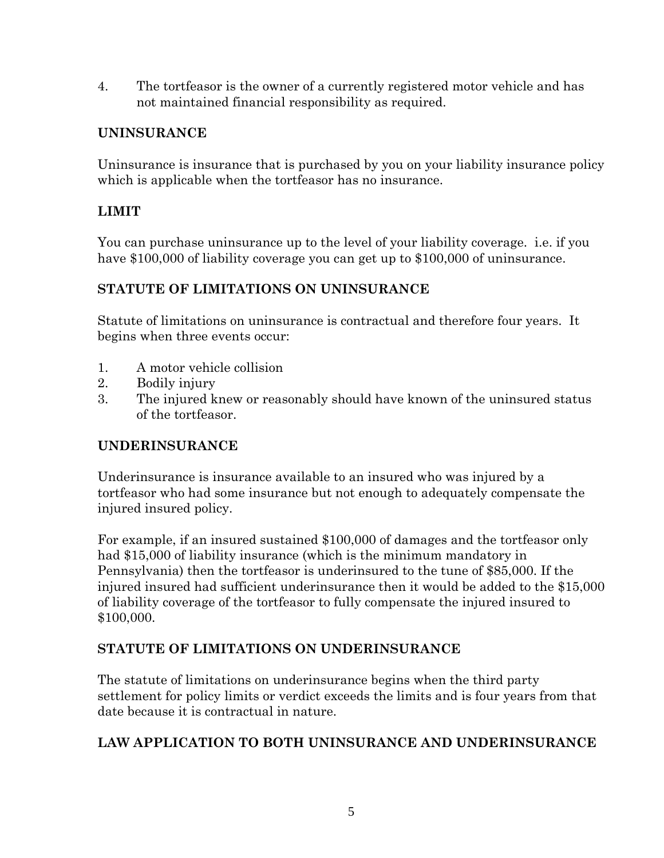4. The tortfeasor is the owner of a currently registered motor vehicle and has not maintained financial responsibility as required.

### **UNINSURANCE**

Uninsurance is insurance that is purchased by you on your liability insurance policy which is applicable when the tortfeasor has no insurance.

# **LIMIT**

You can purchase uninsurance up to the level of your liability coverage. i.e. if you have \$100,000 of liability coverage you can get up to \$100,000 of uninsurance.

#### **STATUTE OF LIMITATIONS ON UNINSURANCE**

Statute of limitations on uninsurance is contractual and therefore four years. It begins when three events occur:

- 1. A motor vehicle collision
- 2. Bodily injury
- 3. The injured knew or reasonably should have known of the uninsured status of the tortfeasor.

# **UNDERINSURANCE**

Underinsurance is insurance available to an insured who was injured by a tortfeasor who had some insurance but not enough to adequately compensate the injured insured policy.

For example, if an insured sustained \$100,000 of damages and the tortfeasor only had \$15,000 of liability insurance (which is the minimum mandatory in Pennsylvania) then the tortfeasor is underinsured to the tune of \$85,000. If the injured insured had sufficient underinsurance then it would be added to the \$15,000 of liability coverage of the tortfeasor to fully compensate the injured insured to \$100,000.

# **STATUTE OF LIMITATIONS ON UNDERINSURANCE**

The statute of limitations on underinsurance begins when the third party settlement for policy limits or verdict exceeds the limits and is four years from that date because it is contractual in nature.

# **LAW APPLICATION TO BOTH UNINSURANCE AND UNDERINSURANCE**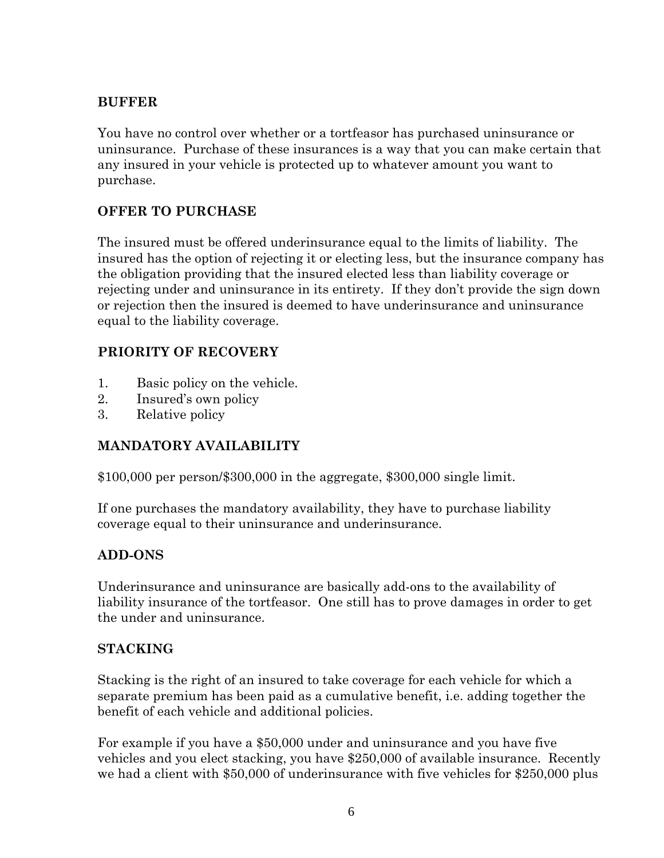### **BUFFER**

You have no control over whether or a tortfeasor has purchased uninsurance or uninsurance. Purchase of these insurances is a way that you can make certain that any insured in your vehicle is protected up to whatever amount you want to purchase.

### **OFFER TO PURCHASE**

The insured must be offered underinsurance equal to the limits of liability. The insured has the option of rejecting it or electing less, but the insurance company has the obligation providing that the insured elected less than liability coverage or rejecting under and uninsurance in its entirety. If they don't provide the sign down or rejection then the insured is deemed to have underinsurance and uninsurance equal to the liability coverage.

# **PRIORITY OF RECOVERY**

- 1. Basic policy on the vehicle.
- 2. Insured's own policy
- 3. Relative policy

# **MANDATORY AVAILABILITY**

\$100,000 per person/\$300,000 in the aggregate, \$300,000 single limit.

If one purchases the mandatory availability, they have to purchase liability coverage equal to their uninsurance and underinsurance.

#### **ADD-ONS**

Underinsurance and uninsurance are basically add-ons to the availability of liability insurance of the tortfeasor. One still has to prove damages in order to get the under and uninsurance.

#### **STACKING**

Stacking is the right of an insured to take coverage for each vehicle for which a separate premium has been paid as a cumulative benefit, i.e. adding together the benefit of each vehicle and additional policies.

For example if you have a \$50,000 under and uninsurance and you have five vehicles and you elect stacking, you have \$250,000 of available insurance. Recently we had a client with \$50,000 of underinsurance with five vehicles for \$250,000 plus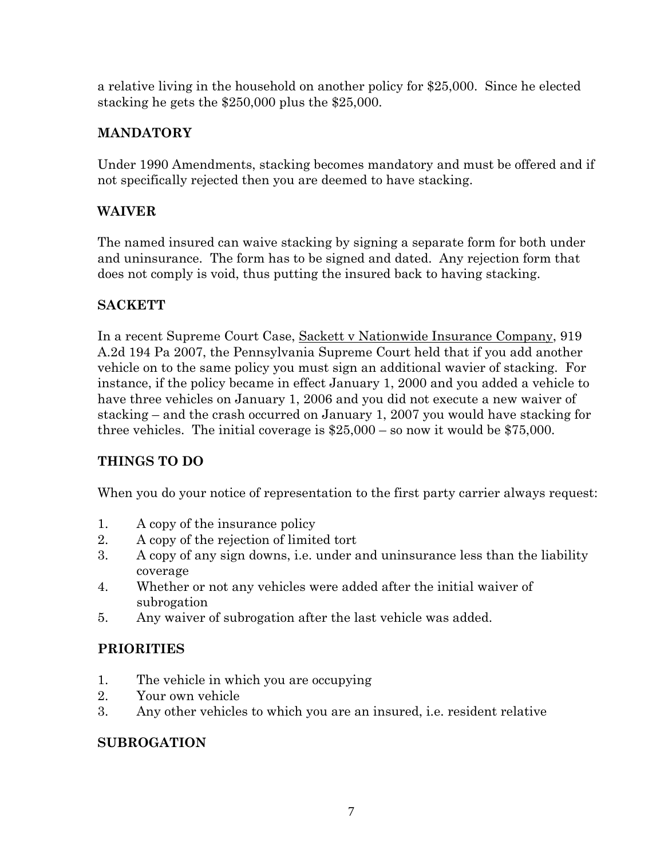a relative living in the household on another policy for \$25,000. Since he elected stacking he gets the \$250,000 plus the \$25,000.

# **MANDATORY**

Under 1990 Amendments, stacking becomes mandatory and must be offered and if not specifically rejected then you are deemed to have stacking.

### **WAIVER**

The named insured can waive stacking by signing a separate form for both under and uninsurance. The form has to be signed and dated. Any rejection form that does not comply is void, thus putting the insured back to having stacking.

#### **SACKETT**

In a recent Supreme Court Case, Sackett v Nationwide Insurance Company, 919 A.2d 194 Pa 2007, the Pennsylvania Supreme Court held that if you add another vehicle on to the same policy you must sign an additional wavier of stacking. For instance, if the policy became in effect January 1, 2000 and you added a vehicle to have three vehicles on January 1, 2006 and you did not execute a new waiver of stacking – and the crash occurred on January 1, 2007 you would have stacking for three vehicles. The initial coverage is \$25,000 – so now it would be \$75,000.

# **THINGS TO DO**

When you do your notice of representation to the first party carrier always request:

- 1. A copy of the insurance policy
- 2. A copy of the rejection of limited tort
- 3. A copy of any sign downs, i.e. under and uninsurance less than the liability coverage
- 4. Whether or not any vehicles were added after the initial waiver of subrogation
- 5. Any waiver of subrogation after the last vehicle was added.

# **PRIORITIES**

- 1. The vehicle in which you are occupying
- 2. Your own vehicle
- 3. Any other vehicles to which you are an insured, i.e. resident relative

#### **SUBROGATION**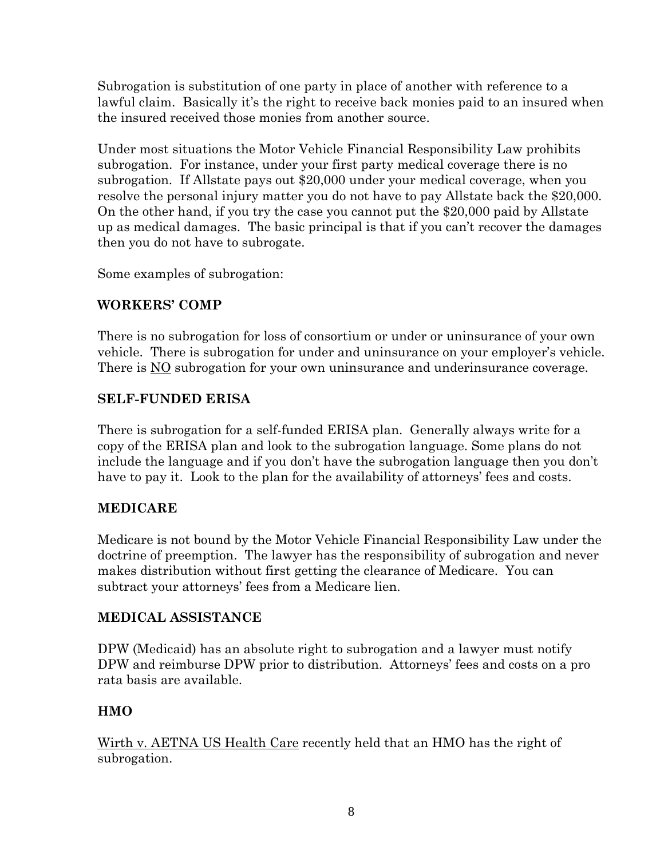Subrogation is substitution of one party in place of another with reference to a lawful claim. Basically it's the right to receive back monies paid to an insured when the insured received those monies from another source.

Under most situations the Motor Vehicle Financial Responsibility Law prohibits subrogation. For instance, under your first party medical coverage there is no subrogation. If Allstate pays out \$20,000 under your medical coverage, when you resolve the personal injury matter you do not have to pay Allstate back the \$20,000. On the other hand, if you try the case you cannot put the \$20,000 paid by Allstate up as medical damages. The basic principal is that if you can't recover the damages then you do not have to subrogate.

Some examples of subrogation:

### **WORKERS' COMP**

There is no subrogation for loss of consortium or under or uninsurance of your own vehicle. There is subrogation for under and uninsurance on your employer's vehicle. There is NO subrogation for your own uninsurance and underinsurance coverage.

### **SELF-FUNDED ERISA**

There is subrogation for a self-funded ERISA plan. Generally always write for a copy of the ERISA plan and look to the subrogation language. Some plans do not include the language and if you don't have the subrogation language then you don't have to pay it. Look to the plan for the availability of attorneys' fees and costs.

#### **MEDICARE**

Medicare is not bound by the Motor Vehicle Financial Responsibility Law under the doctrine of preemption. The lawyer has the responsibility of subrogation and never makes distribution without first getting the clearance of Medicare. You can subtract your attorneys' fees from a Medicare lien.

#### **MEDICAL ASSISTANCE**

DPW (Medicaid) has an absolute right to subrogation and a lawyer must notify DPW and reimburse DPW prior to distribution. Attorneys' fees and costs on a pro rata basis are available.

# **HMO**

Wirth v. AETNA US Health Care recently held that an HMO has the right of subrogation.